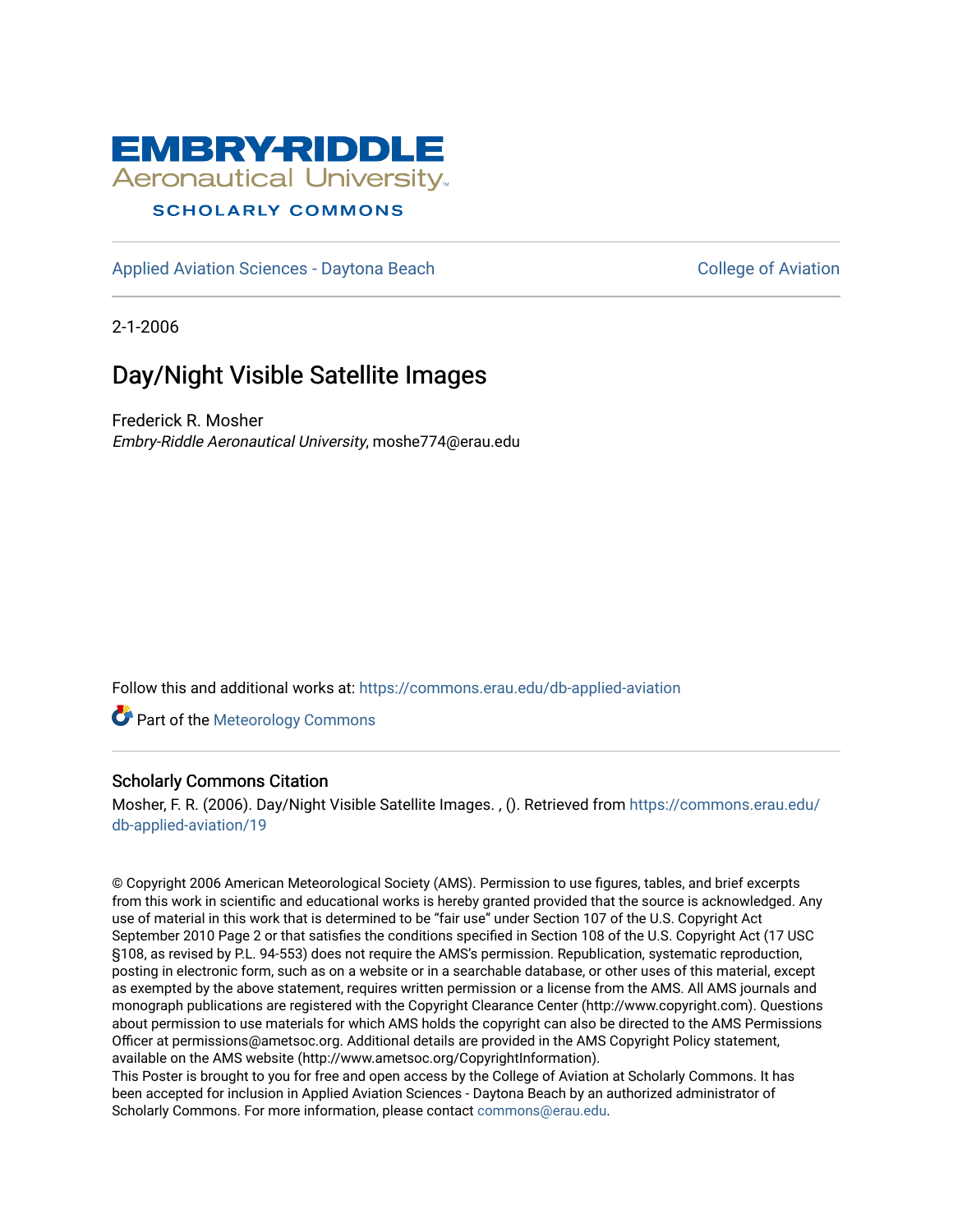

# **SCHOLARLY COMMONS**

[Applied Aviation Sciences - Daytona Beach](https://commons.erau.edu/db-applied-aviation) [College of Aviation](https://commons.erau.edu/db-aviation) College of Aviation

2-1-2006

# Day/Night Visible Satellite Images

Frederick R. Mosher Embry-Riddle Aeronautical University, moshe774@erau.edu

Follow this and additional works at: [https://commons.erau.edu/db-applied-aviation](https://commons.erau.edu/db-applied-aviation?utm_source=commons.erau.edu%2Fdb-applied-aviation%2F19&utm_medium=PDF&utm_campaign=PDFCoverPages) 

**Part of the Meteorology Commons** 

# Scholarly Commons Citation

Mosher, F. R. (2006). Day/Night Visible Satellite Images. , (). Retrieved from [https://commons.erau.edu/](https://commons.erau.edu/db-applied-aviation/19?utm_source=commons.erau.edu%2Fdb-applied-aviation%2F19&utm_medium=PDF&utm_campaign=PDFCoverPages) [db-applied-aviation/19](https://commons.erau.edu/db-applied-aviation/19?utm_source=commons.erau.edu%2Fdb-applied-aviation%2F19&utm_medium=PDF&utm_campaign=PDFCoverPages) 

© Copyright 2006 American Meteorological Society (AMS). Permission to use figures, tables, and brief excerpts from this work in scientific and educational works is hereby granted provided that the source is acknowledged. Any use of material in this work that is determined to be "fair use" under Section 107 of the U.S. Copyright Act September 2010 Page 2 or that satisfies the conditions specified in Section 108 of the U.S. Copyright Act (17 USC §108, as revised by P.L. 94-553) does not require the AMS's permission. Republication, systematic reproduction, posting in electronic form, such as on a website or in a searchable database, or other uses of this material, except as exempted by the above statement, requires written permission or a license from the AMS. All AMS journals and monograph publications are registered with the Copyright Clearance Center (http://www.copyright.com). Questions about permission to use materials for which AMS holds the copyright can also be directed to the AMS Permissions Officer at permissions@ametsoc.org. Additional details are provided in the AMS Copyright Policy statement, available on the AMS website (http://www.ametsoc.org/CopyrightInformation).

This Poster is brought to you for free and open access by the College of Aviation at Scholarly Commons. It has been accepted for inclusion in Applied Aviation Sciences - Daytona Beach by an authorized administrator of Scholarly Commons. For more information, please contact [commons@erau.edu.](mailto:commons@erau.edu)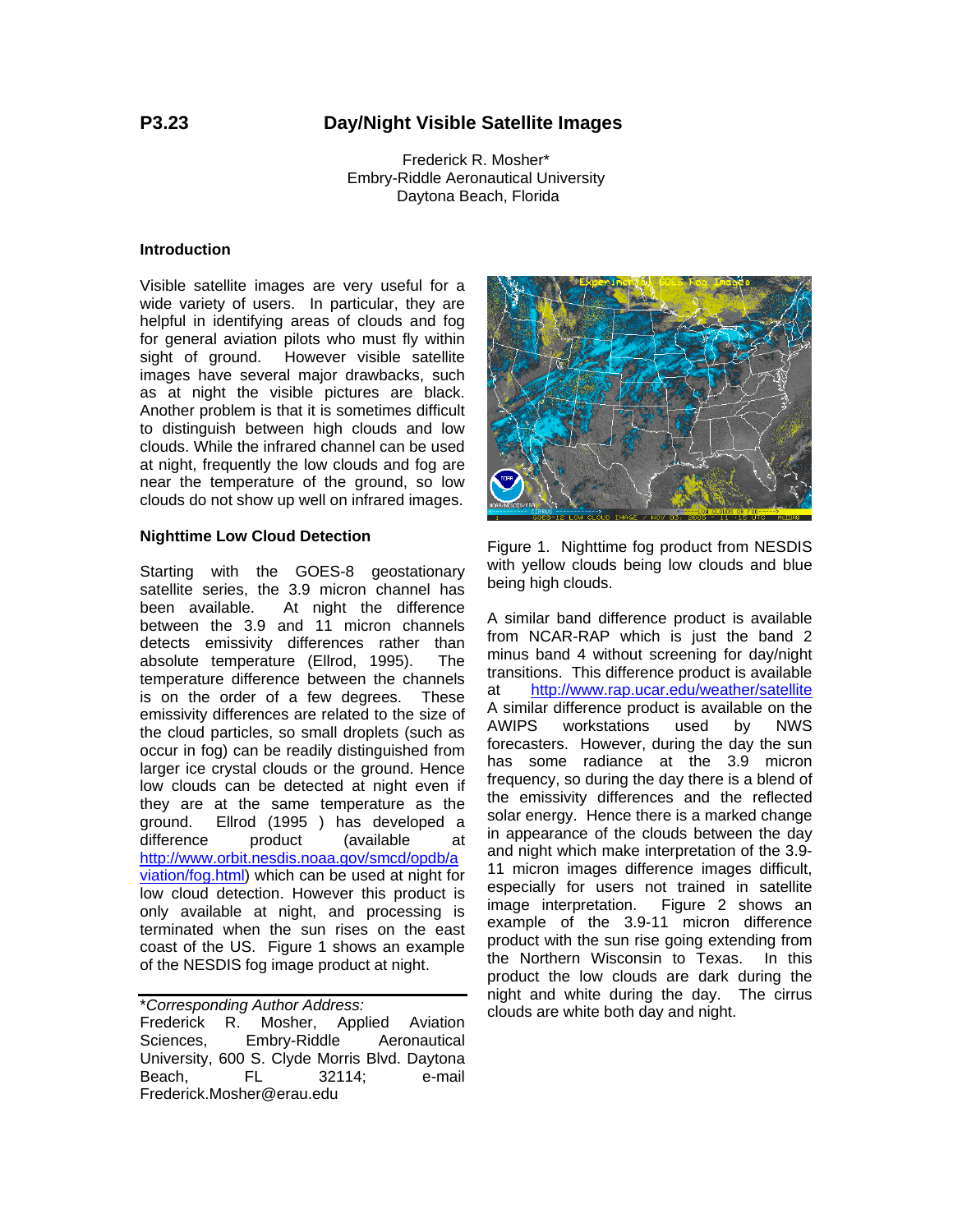# **P3.23 Day/Night Visible Satellite Images**

Frederick R. Mosher\* Embry-Riddle Aeronautical University Daytona Beach, Florida

#### **Introduction**

Visible satellite images are very useful for a wide variety of users. In particular, they are helpful in identifying areas of clouds and fog for general aviation pilots who must fly within sight of ground. However visible satellite images have several major drawbacks, such as at night the visible pictures are black. Another problem is that it is sometimes difficult to distinguish between high clouds and low clouds. While the infrared channel can be used at night, frequently the low clouds and fog are near the temperature of the ground, so low clouds do not show up well on infrared images.

#### **Nighttime Low Cloud Detection**

Starting with the GOES-8 geostationary satellite series, the 3.9 micron channel has been available. At night the difference between the 3.9 and 11 micron channels detects emissivity differences rather than absolute temperature (Ellrod, 1995). The temperature difference between the channels is on the order of a few degrees. These emissivity differences are related to the size of the cloud particles, so small droplets (such as occur in fog) can be readily distinguished from larger ice crystal clouds or the ground. Hence low clouds can be detected at night even if they are at the same temperature as the ground. Ellrod (1995 ) has developed a difference product (available at http://www.orbit.nesdis.noaa.gov/smcd/opdb/a viation/fog.html) which can be used at night for low cloud detection. However this product is only available at night, and processing is terminated when the sun rises on the east coast of the US. Figure 1 shows an example of the NESDIS fog image product at night.

\**Corresponding Author Address:*  Frederick R. Mosher, Applied Aviation Sciences, Embry-Riddle Aeronautical University, 600 S. Clyde Morris Blvd. Daytona Beach, FL 32114; e-mail Frederick.Mosher@erau.edu



Figure 1. Nighttime fog product from NESDIS with yellow clouds being low clouds and blue being high clouds.

A similar band difference product is available from NCAR-RAP which is just the band 2 minus band 4 without screening for day/night transitions. This difference product is available at http://www.rap.ucar.edu/weather/satellite A similar difference product is available on the AWIPS workstations used by NWS forecasters. However, during the day the sun has some radiance at the 3.9 micron frequency, so during the day there is a blend of the emissivity differences and the reflected solar energy. Hence there is a marked change in appearance of the clouds between the day and night which make interpretation of the 3.9- 11 micron images difference images difficult, especially for users not trained in satellite image interpretation. Figure 2 shows an example of the 3.9-11 micron difference product with the sun rise going extending from the Northern Wisconsin to Texas. In this product the low clouds are dark during the night and white during the day. The cirrus clouds are white both day and night.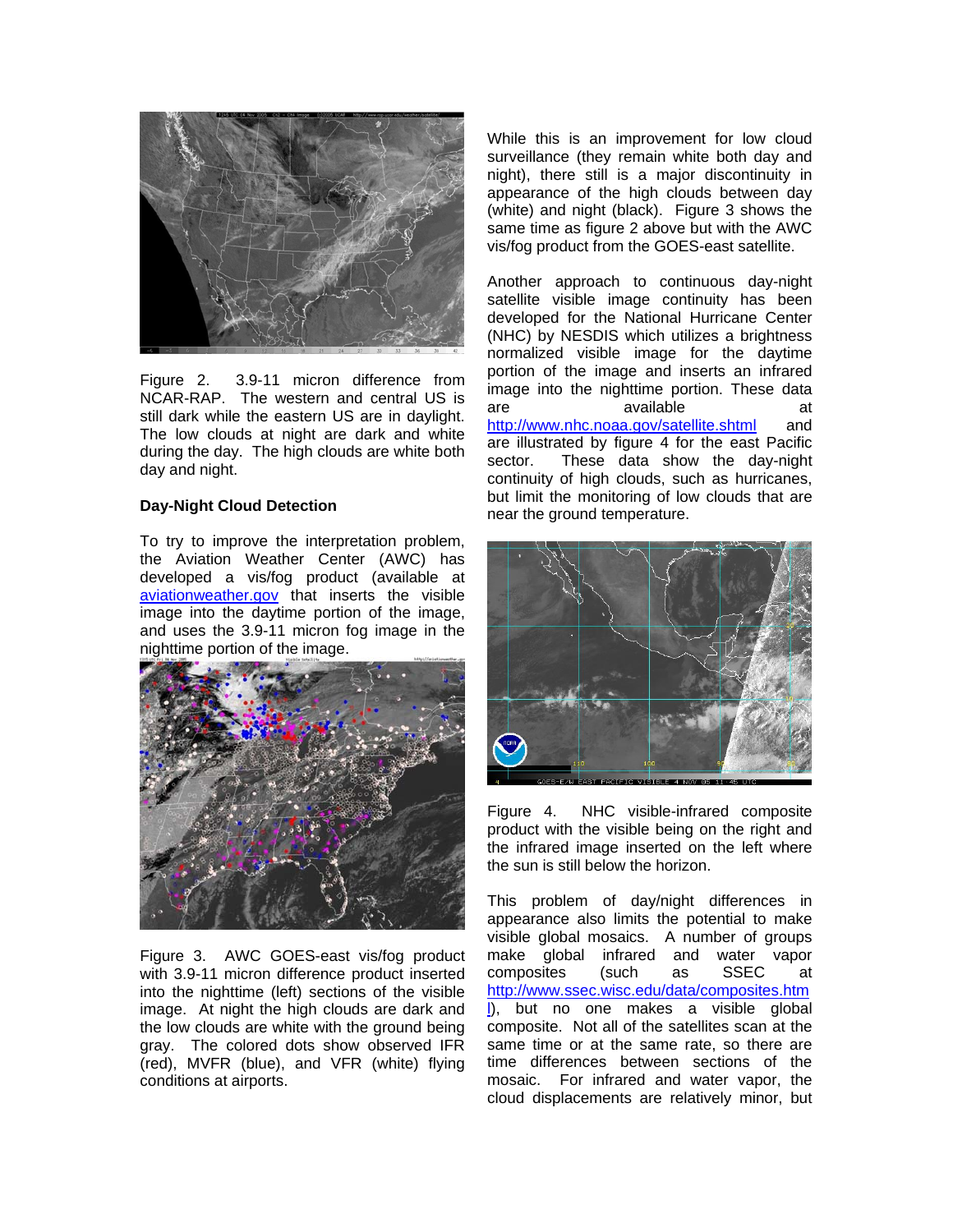

Figure 2. 3.9-11 micron difference from NCAR-RAP. The western and central US is still dark while the eastern US are in daylight. The low clouds at night are dark and white during the day. The high clouds are white both day and night.

# **Day-Night Cloud Detection**

To try to improve the interpretation problem, the Aviation Weather Center (AWC) has developed a vis/fog product (available at aviationweather.gov that inserts the visible image into the daytime portion of the image, and uses the 3.9-11 micron fog image in the nighttime portion of the image.



Figure 3. AWC GOES-east vis/fog product with 3.9-11 micron difference product inserted into the nighttime (left) sections of the visible image. At night the high clouds are dark and the low clouds are white with the ground being gray. The colored dots show observed IFR (red), MVFR (blue), and VFR (white) flying conditions at airports.

While this is an improvement for low cloud surveillance (they remain white both day and night), there still is a major discontinuity in appearance of the high clouds between day (white) and night (black). Figure 3 shows the same time as figure 2 above but with the AWC vis/fog product from the GOES-east satellite.

Another approach to continuous day-night satellite visible image continuity has been developed for the National Hurricane Center (NHC) by NESDIS which utilizes a brightness normalized visible image for the daytime portion of the image and inserts an infrared image into the nighttime portion. These data are available at http://www.nhc.noaa.gov/satellite.shtml and are illustrated by figure 4 for the east Pacific sector. These data show the day-night continuity of high clouds, such as hurricanes, but limit the monitoring of low clouds that are near the ground temperature.



Figure 4. NHC visible-infrared composite product with the visible being on the right and the infrared image inserted on the left where the sun is still below the horizon.

This problem of day/night differences in appearance also limits the potential to make visible global mosaics. A number of groups make global infrared and water vapor composites (such as SSEC at http://www.ssec.wisc.edu/data/composites.htm l), but no one makes a visible global composite. Not all of the satellites scan at the same time or at the same rate, so there are time differences between sections of the mosaic. For infrared and water vapor, the cloud displacements are relatively minor, but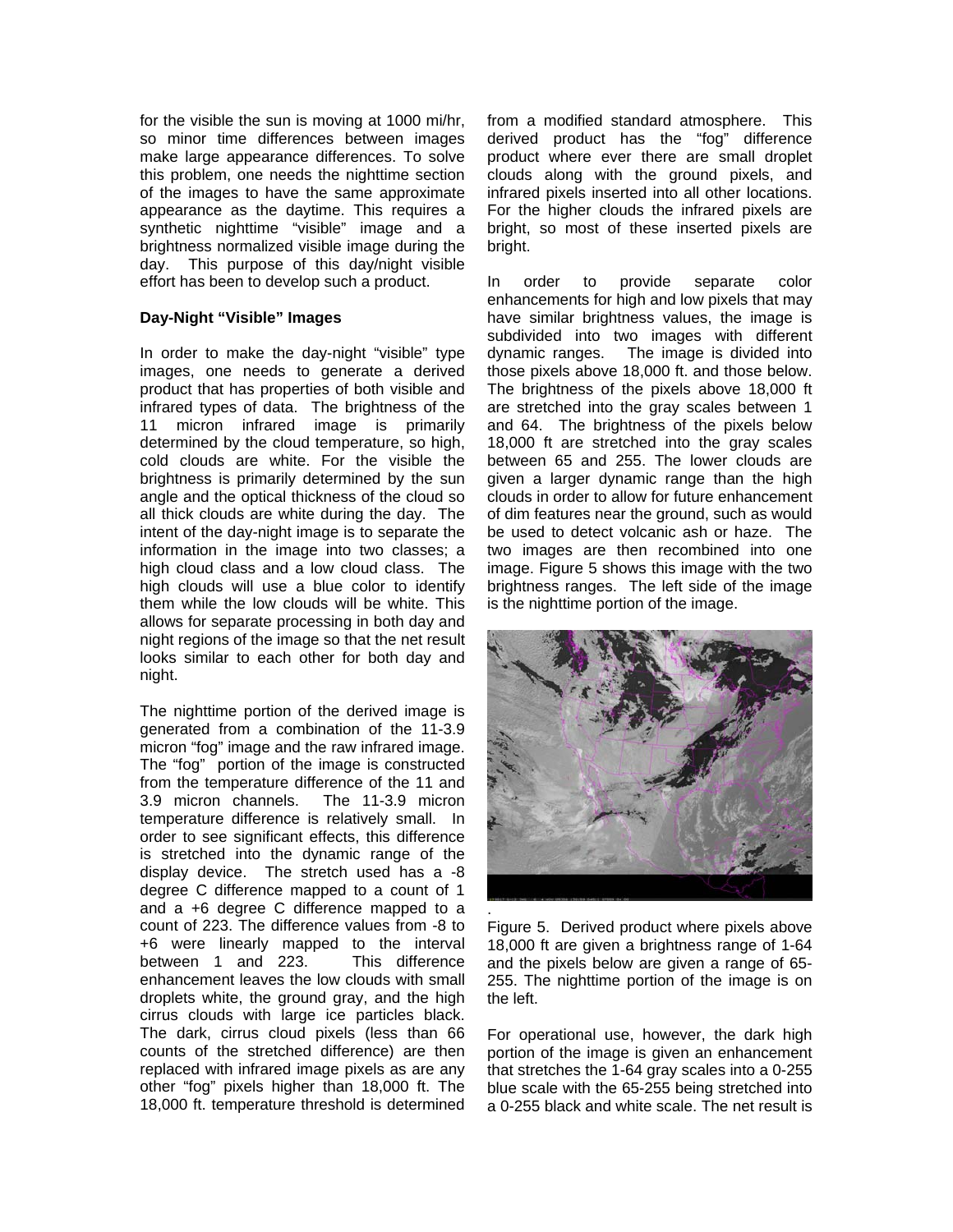for the visible the sun is moving at 1000 mi/hr, so minor time differences between images make large appearance differences. To solve this problem, one needs the nighttime section of the images to have the same approximate appearance as the daytime. This requires a synthetic nighttime "visible" image and a brightness normalized visible image during the day. This purpose of this day/night visible effort has been to develop such a product.

# **Day-Night "Visible" Images**

In order to make the day-night "visible" type images, one needs to generate a derived product that has properties of both visible and infrared types of data. The brightness of the 11 micron infrared image is primarily determined by the cloud temperature, so high, cold clouds are white. For the visible the brightness is primarily determined by the sun angle and the optical thickness of the cloud so all thick clouds are white during the day. The intent of the day-night image is to separate the information in the image into two classes; a high cloud class and a low cloud class. The high clouds will use a blue color to identify them while the low clouds will be white. This allows for separate processing in both day and night regions of the image so that the net result looks similar to each other for both day and night.

The nighttime portion of the derived image is generated from a combination of the 11-3.9 micron "fog" image and the raw infrared image. The "fog" portion of the image is constructed from the temperature difference of the 11 and 3.9 micron channels. The 11-3.9 micron temperature difference is relatively small. In order to see significant effects, this difference is stretched into the dynamic range of the display device. The stretch used has a -8 degree C difference mapped to a count of 1 and a +6 degree C difference mapped to a count of 223. The difference values from -8 to +6 were linearly mapped to the interval between 1 and 223. This difference enhancement leaves the low clouds with small droplets white, the ground gray, and the high cirrus clouds with large ice particles black. The dark, cirrus cloud pixels (less than 66 counts of the stretched difference) are then replaced with infrared image pixels as are any other "fog" pixels higher than 18,000 ft. The 18,000 ft. temperature threshold is determined

from a modified standard atmosphere. This derived product has the "fog" difference product where ever there are small droplet clouds along with the ground pixels, and infrared pixels inserted into all other locations. For the higher clouds the infrared pixels are bright, so most of these inserted pixels are bright.

In order to provide separate color enhancements for high and low pixels that may have similar brightness values, the image is subdivided into two images with different dynamic ranges. The image is divided into those pixels above 18,000 ft. and those below. The brightness of the pixels above 18,000 ft are stretched into the gray scales between 1 and 64. The brightness of the pixels below 18,000 ft are stretched into the gray scales between 65 and 255. The lower clouds are given a larger dynamic range than the high clouds in order to allow for future enhancement of dim features near the ground, such as would be used to detect volcanic ash or haze. The two images are then recombined into one image. Figure 5 shows this image with the two brightness ranges. The left side of the image is the nighttime portion of the image.



Figure 5. Derived product where pixels above 18,000 ft are given a brightness range of 1-64 and the pixels below are given a range of 65- 255. The nighttime portion of the image is on the left.

For operational use, however, the dark high portion of the image is given an enhancement that stretches the 1-64 gray scales into a 0-255 blue scale with the 65-255 being stretched into a 0-255 black and white scale. The net result is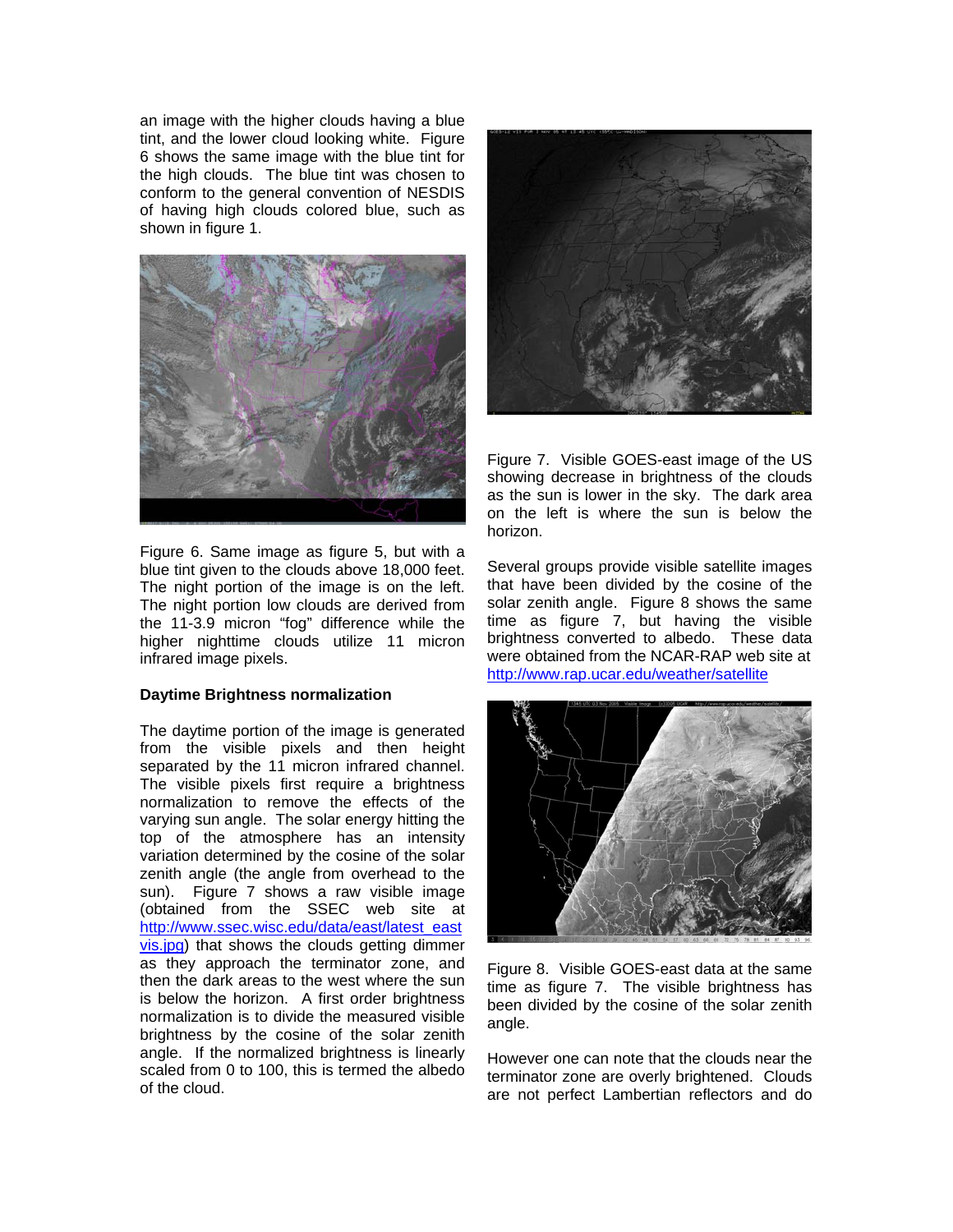an image with the higher clouds having a blue tint, and the lower cloud looking white. Figure 6 shows the same image with the blue tint for the high clouds. The blue tint was chosen to conform to the general convention of NESDIS of having high clouds colored blue, such as shown in figure 1.



Figure 6. Same image as figure 5, but with a blue tint given to the clouds above 18,000 feet. The night portion of the image is on the left. The night portion low clouds are derived from the 11-3.9 micron "fog" difference while the higher nighttime clouds utilize 11 micron infrared image pixels.

# **Daytime Brightness normalization**

The daytime portion of the image is generated from the visible pixels and then height separated by the 11 micron infrared channel. The visible pixels first require a brightness normalization to remove the effects of the varying sun angle. The solar energy hitting the top of the atmosphere has an intensity variation determined by the cosine of the solar zenith angle (the angle from overhead to the sun). Figure 7 shows a raw visible image (obtained from the SSEC web site at http://www.ssec.wisc.edu/data/east/latest\_east vis.jpg) that shows the clouds getting dimmer as they approach the terminator zone, and then the dark areas to the west where the sun is below the horizon. A first order brightness normalization is to divide the measured visible brightness by the cosine of the solar zenith angle. If the normalized brightness is linearly scaled from 0 to 100, this is termed the albedo of the cloud.



Figure 7. Visible GOES-east image of the US showing decrease in brightness of the clouds as the sun is lower in the sky. The dark area on the left is where the sun is below the horizon.

Several groups provide visible satellite images that have been divided by the cosine of the solar zenith angle. Figure 8 shows the same time as figure 7, but having the visible brightness converted to albedo. These data were obtained from the NCAR-RAP web site at http://www.rap.ucar.edu/weather/satellite



Figure 8. Visible GOES-east data at the same time as figure 7. The visible brightness has been divided by the cosine of the solar zenith angle.

However one can note that the clouds near the terminator zone are overly brightened. Clouds are not perfect Lambertian reflectors and do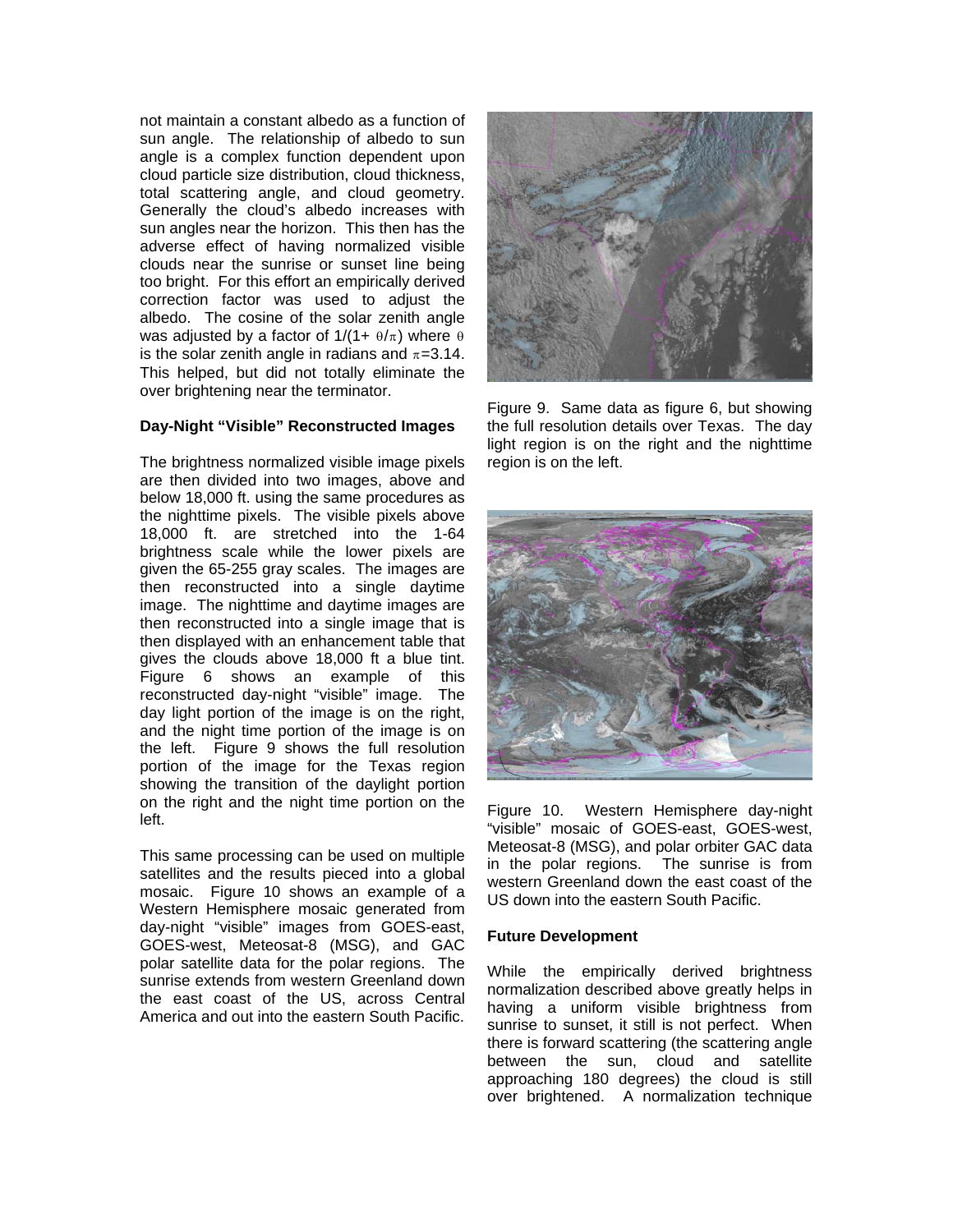not maintain a constant albedo as a function of sun angle. The relationship of albedo to sun angle is a complex function dependent upon cloud particle size distribution, cloud thickness, total scattering angle, and cloud geometry. Generally the cloud's albedo increases with sun angles near the horizon. This then has the adverse effect of having normalized visible clouds near the sunrise or sunset line being too bright. For this effort an empirically derived correction factor was used to adjust the albedo. The cosine of the solar zenith angle was adjusted by a factor of  $1/(1 + \theta/\pi)$  where  $\theta$ is the solar zenith angle in radians and  $\pi=3.14$ . This helped, but did not totally eliminate the over brightening near the terminator.

# **Day-Night "Visible" Reconstructed Images**

The brightness normalized visible image pixels are then divided into two images, above and below 18,000 ft. using the same procedures as the nighttime pixels. The visible pixels above 18,000 ft. are stretched into the 1-64 brightness scale while the lower pixels are given the 65-255 gray scales. The images are then reconstructed into a single daytime image. The nighttime and daytime images are then reconstructed into a single image that is then displayed with an enhancement table that gives the clouds above 18,000 ft a blue tint. Figure 6 shows an example of this reconstructed day-night "visible" image. The day light portion of the image is on the right, and the night time portion of the image is on the left. Figure 9 shows the full resolution portion of the image for the Texas region showing the transition of the daylight portion on the right and the night time portion on the left.

This same processing can be used on multiple satellites and the results pieced into a global mosaic. Figure 10 shows an example of a Western Hemisphere mosaic generated from day-night "visible" images from GOES-east, GOES-west, Meteosat-8 (MSG), and GAC polar satellite data for the polar regions. The sunrise extends from western Greenland down the east coast of the US, across Central America and out into the eastern South Pacific.



Figure 9. Same data as figure 6, but showing the full resolution details over Texas. The day light region is on the right and the nighttime region is on the left.



Figure 10. Western Hemisphere day-night "visible" mosaic of GOES-east, GOES-west, Meteosat-8 (MSG), and polar orbiter GAC data in the polar regions. The sunrise is from western Greenland down the east coast of the US down into the eastern South Pacific.

# **Future Development**

While the empirically derived brightness normalization described above greatly helps in having a uniform visible brightness from sunrise to sunset, it still is not perfect. When there is forward scattering (the scattering angle between the sun, cloud and satellite approaching 180 degrees) the cloud is still over brightened. A normalization technique